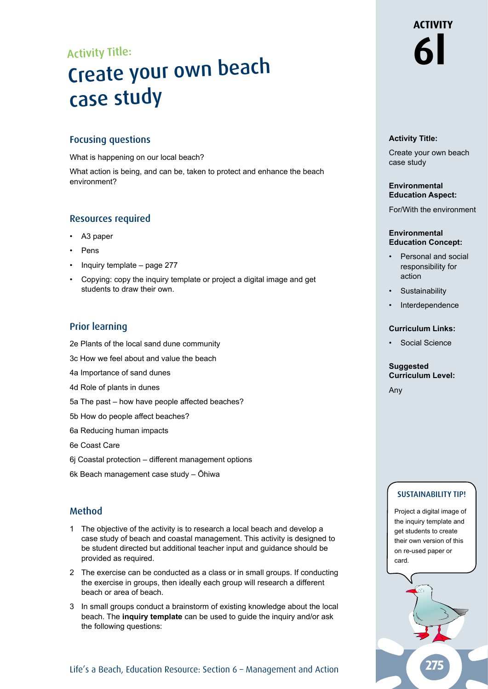# Activity Title:<br> **Create vour own beach** Create your own beach case study

#### Focusing questions

What is happening on our local beach?

What action is being, and can be, taken to protect and enhance the beach environment?

#### Resources required

- A3 paper
- **Pens**
- Inquiry template page 277
- Copying: copy the inquiry template or project a digital image and get students to draw their own.

## Prior learning

- 2e Plants of the local sand dune community
- 3c How we feel about and value the beach
- 4a Importance of sand dunes
- 4d Role of plants in dunes
- 5a The past how have people affected beaches?
- 5b How do people affect beaches?
- 6a Reducing human impacts
- 6e Coast Care
- 6j Coastal protection different management options
- 6k Beach management case study Ōhiwa

## Method

- 1 The objective of the activity is to research a local beach and develop a case study of beach and coastal management. This activity is designed to be student directed but additional teacher input and guidance should be provided as required.
- 2 The exercise can be conducted as a class or in small groups. If conducting the exercise in groups, then ideally each group will research a different beach or area of beach.
- 3 In small groups conduct a brainstorm of existing knowledge about the local beach. The **inquiry template** can be used to guide the inquiry and/or ask the following questions:

#### Life's a Beach, Education Resource: Section 6 - Management and Action

# **ACTIVITY**

#### **Activity Title:**

Create your own beach case study

#### **Environmental Education Aspect:**

For/With the environment

#### **Environmental Education Concept:**

- Personal and social responsibility for action
- **Sustainability**
- **Interdependence**

#### **Curriculum Links:**

• Social Science

#### **Suggested Curriculum Level:**

Any

#### SUSTAINABILITY TIP!

Project a digital image of the inquiry template and get students to create their own version of this on re-used paper or card.

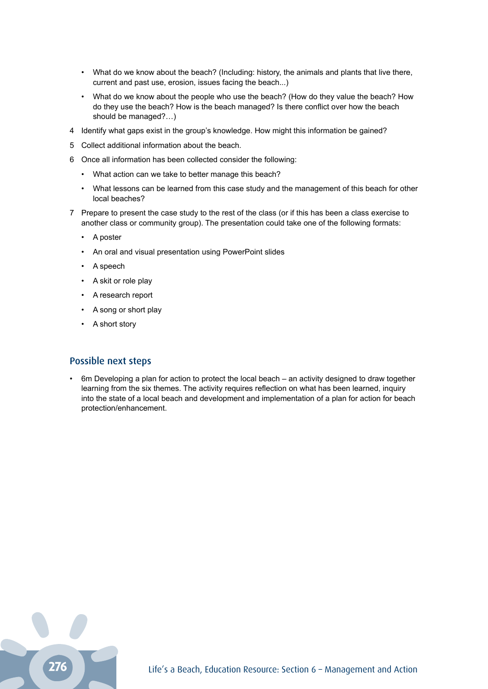- What do we know about the beach? (Including: history, the animals and plants that live there, current and past use, erosion, issues facing the beach...)
- What do we know about the people who use the beach? (How do they value the beach? How do they use the beach? How is the beach managed? Is there conflict over how the beach should be managed?…)
- 4 Identify what gaps exist in the group's knowledge. How might this information be gained?
- 5 Collect additional information about the beach.
- 6 Once all information has been collected consider the following:
	- What action can we take to better manage this beach?
	- What lessons can be learned from this case study and the management of this beach for other local beaches?
- 7 Prepare to present the case study to the rest of the class (or if this has been a class exercise to another class or community group). The presentation could take one of the following formats:
	- A poster
	- An oral and visual presentation using PowerPoint slides
	- A speech
	- A skit or role play
	- A research report
	- A song or short play
	- A short story

#### Possible next steps

• 6m Developing a plan for action to protect the local beach – an activity designed to draw together learning from the six themes. The activity requires reflection on what has been learned, inquiry into the state of a local beach and development and implementation of a plan for action for beach protection/enhancement.